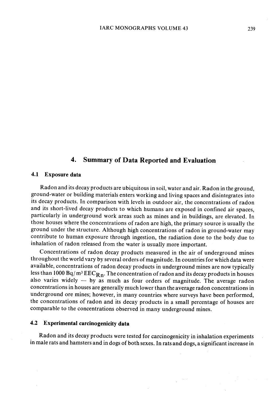# 4. Summary of Data Reported and Evaluation

#### 4.1 Exposure data

Radon and its decay products are ubiquitous in soil, water and air. Radon in the ground, ground-water or building materials enters working and living spaces and disintegrates into its decay products. ln comparison with levels in outdoor air, the concentrations of radon and its short-lived decay products to which humans are exposed in confined air spaces, particularly in underground work areas such as mines and in buildings, are elevated. ln those houses where the concentrations of radon are high, the primary source is usually the ground under the structure. Although high concentrations of radon in ground-water may contribute to human exposure through ingestion, the radiation dose to the body due to inhalation of radon released from the water is usually more important.

Concentrations of radon decay products measured in the air of underground mines throughout the world vary by several orders of magnitude. ln countries for which data were available, concentrations of radon decay products in underground mines are now typically less than 1000  $Bq/m^3 EEC_{Rn}$ . The concentration of radon and its decay products in houses also varies widely  $-$  by as much as four orders of magnitude. The average radon concentrations in houses are generally much lower than the average radon concentrations in underground ore mines; however, in many countries where surveys have been performed, the concentrations of radon and its decay products in a small percentage of houses are comparable to the concentrations observed in many underground mines.

#### 4.2 Experimental carcinogenicity data

Radon and its decay products were tested for carcinogenicity in inhalation experiments in male rats and hamsters and in dogs of both sexes. ln rats and dogs, a significant increase in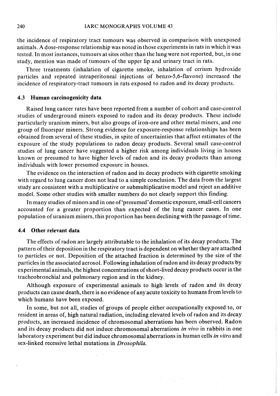the incidence of respiratory tract tumours was observed in comparison with unexposed animaIs. A dose-response relationship was noted in those experiments in rats in which it was tested. ln most instances, tumours at sites other than the lung were not reported, but, in one study, mention was made of tumours of the upper lip and urinary tract in rats.

Three treatments (inhalation of cigarette smoke, inhalation of cerium hydroxide particles and repeated intraperitoneal injections of benzo-5,6-flavone) increased the incidence of respiratory-tract tumours in rats exposed to radon and its decay products.

#### 4.3 Human carcinogenicity data

Raised lung cancer rates have been reported from a number of cohort and case-control studies of underground miners exposed to radon and its decay products. These include particularly uranium miners, but also groups of iron-ore and other metal miners, and one group of fluorspar miners. Strong evidence for exposure-response relationships has been obtained from several of these studies, in spite of uncertainties that affect estimates of the exposure of the study populations to radon decay products. Several small case-control studies of lung cancer have suggested a higher risk among individuals living in houses known or presumed to have higher levels of radon and its decay products than among individuals with lower presumed exposure in houses.

The evidence on the interaction of radon and its decay products with cigarette smoking with regard to lung cancer does not lead to a simple conclusion. The data from the largest study are consistent with a multiplicative or submultiplicative model and reject an additive model. Some other studies with smaller numbers do not clearly support this finding.

In many studies of miners and in one of 'presumed' domestic exposure, small-cell cancers accounted for a greater proportion than expected of the lung cancer cases. ln one population of uranium miners, this proportion has been declining with the passage of time.

### 4.4 Other relevant data

The effects of radon are largely attributable to the inhalation of its decay products. The pattern of their deposition in the respiratory tract is dependent on whether they are attached to particles or not. Deposition of the attached fraction is determined by the size of the particles in the associated aerosol. Following inhalation of radon and its decay products by experimental animaIs, the highest concentrations of short-lived decay products occur in the tracheobronchial and pulmonary region and in the kidney.

Although exposure of experimental animaIs to high levels of radon and its decay products can cause death, there is no evidence of any acute toxicity to humans from levels to which humans have been exposed.

In some, but not all, studies of groups of people either occupationally exposed to, or resident in areas of, high natural radiation, including elevated levels of radon and its decay products, an increased incidence of chromosomal aberrations has been observed. Radon and its decay products did not induce chromosomal aberrations in vivo in rabbits in one laboratory experiment but did induce chromosomal aberrations in human cells in vitro and sex-linked recessive lethal mutations in Drosophila.